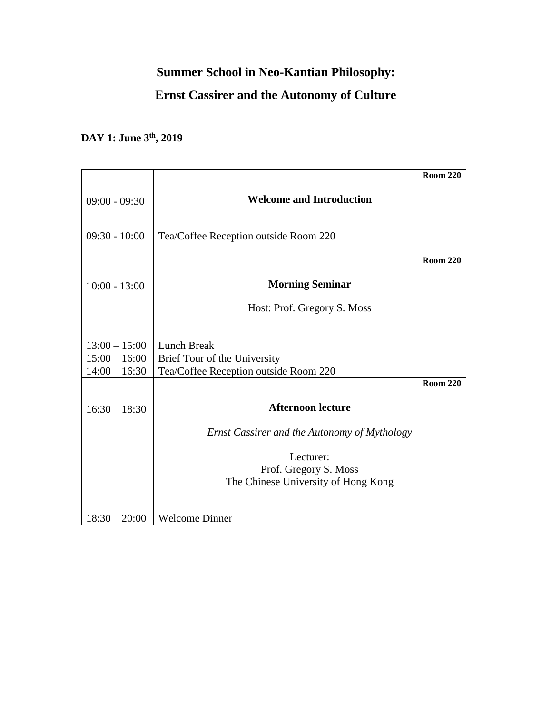## **Summer School in Neo-Kantian Philosophy:**

### **Ernst Cassirer and the Autonomy of Culture**

# **DAY 1: June 3th, 2019**

|                 |                                                     | <b>Room 220</b> |
|-----------------|-----------------------------------------------------|-----------------|
| $09:00 - 09:30$ | <b>Welcome and Introduction</b>                     |                 |
|                 |                                                     |                 |
| $09:30 - 10:00$ | Tea/Coffee Reception outside Room 220               |                 |
|                 |                                                     | <b>Room 220</b> |
| $10:00 - 13:00$ | <b>Morning Seminar</b>                              |                 |
|                 | Host: Prof. Gregory S. Moss                         |                 |
|                 |                                                     |                 |
| $13:00 - 15:00$ | Lunch Break                                         |                 |
| $15:00 - 16:00$ | Brief Tour of the University                        |                 |
| $14:00 - 16:30$ | Tea/Coffee Reception outside Room 220               |                 |
|                 |                                                     | <b>Room 220</b> |
| $16:30 - 18:30$ | <b>Afternoon lecture</b>                            |                 |
|                 | <b>Ernst Cassirer and the Autonomy of Mythology</b> |                 |
|                 | Lecturer:                                           |                 |
|                 | Prof. Gregory S. Moss                               |                 |
|                 | The Chinese University of Hong Kong                 |                 |
|                 |                                                     |                 |
| $18:30 - 20:00$ | <b>Welcome Dinner</b>                               |                 |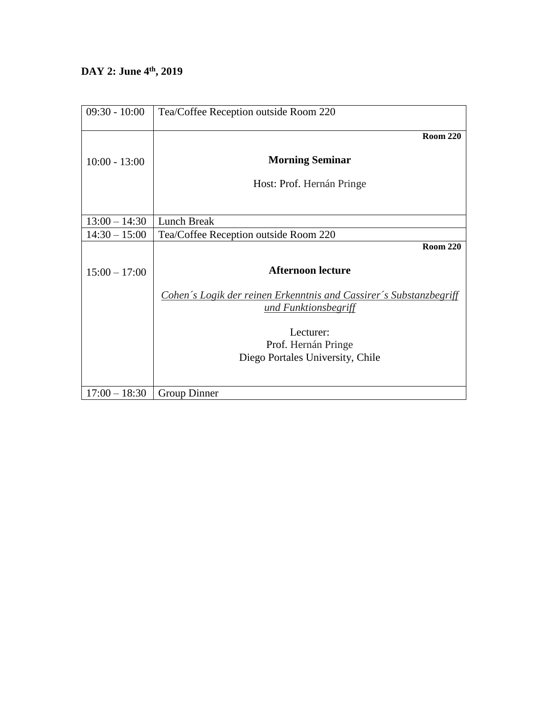## **DAY 2: June 4th, 2019**

| $09:30 - 10:00$ | Tea/Coffee Reception outside Room 220                                                      |
|-----------------|--------------------------------------------------------------------------------------------|
|                 | <b>Room 220</b>                                                                            |
| $10:00 - 13:00$ | <b>Morning Seminar</b>                                                                     |
|                 | Host: Prof. Hernán Pringe                                                                  |
|                 |                                                                                            |
| $13:00 - 14:30$ | Lunch Break                                                                                |
| $14:30 - 15:00$ | Tea/Coffee Reception outside Room 220                                                      |
|                 | <b>Room 220</b>                                                                            |
| $15:00 - 17:00$ | <b>Afternoon lecture</b>                                                                   |
|                 | Cohen's Logik der reinen Erkenntnis and Cassirer's Substanzbegriff<br>und Funktionsbegriff |
|                 | Lecturer:<br>Prof. Hernán Pringe                                                           |
|                 | Diego Portales University, Chile                                                           |
| $17:00 - 18:30$ | Group Dinner                                                                               |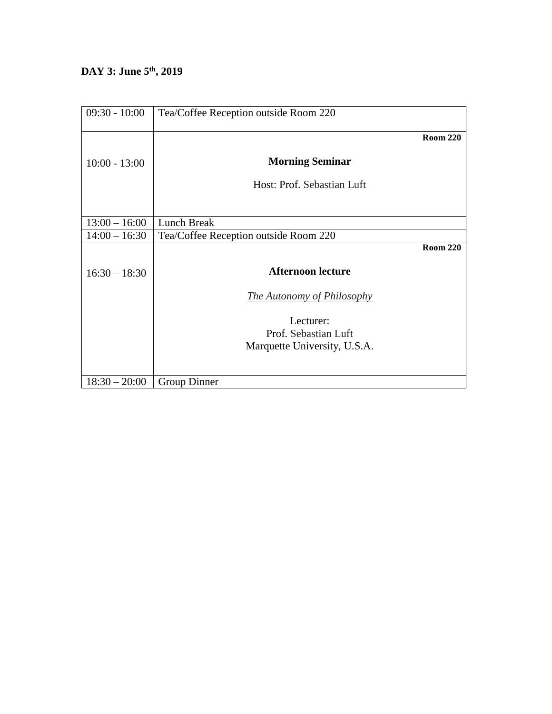### **DAY 3: June 5th, 2019**

| $09:30 - 10:00$ | Tea/Coffee Reception outside Room 220 |
|-----------------|---------------------------------------|
|                 | <b>Room 220</b>                       |
| $10:00 - 13:00$ | <b>Morning Seminar</b>                |
|                 | Host: Prof. Sebastian Luft            |
|                 |                                       |
| $13:00 - 16:00$ | Lunch Break                           |
| $14:00 - 16:30$ | Tea/Coffee Reception outside Room 220 |
|                 | <b>Room 220</b>                       |
| $16:30 - 18:30$ | <b>Afternoon lecture</b>              |
|                 | <i>The Autonomy of Philosophy</i>     |
|                 | Lecturer:                             |
|                 | Prof. Sebastian Luft                  |
|                 | Marquette University, U.S.A.          |
|                 |                                       |
| $18:30 - 20:00$ | Group Dinner                          |